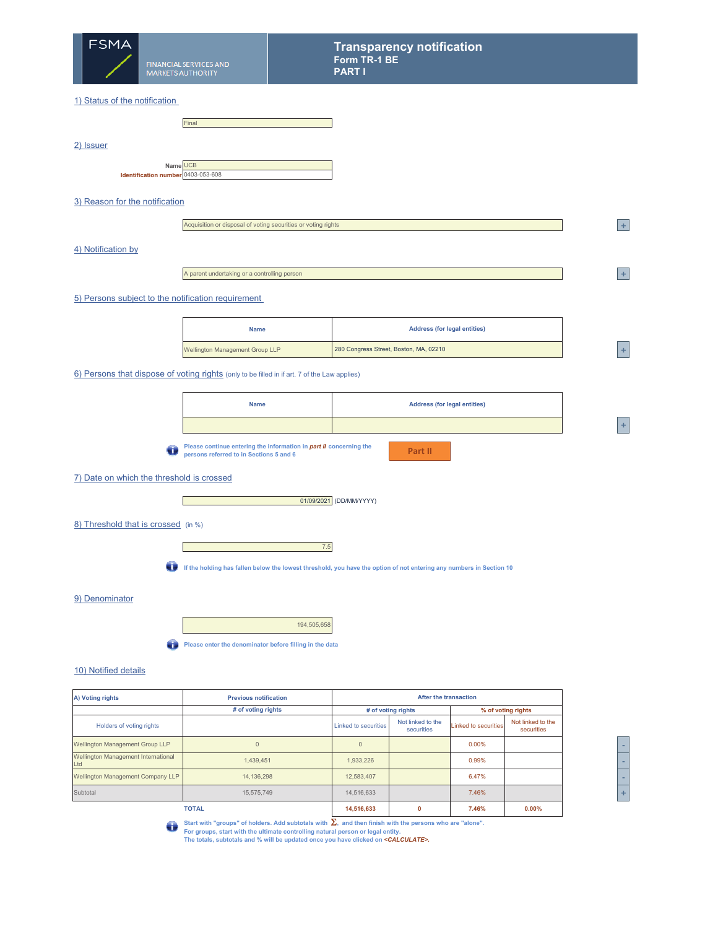

2) Issuer

#### 1) Status of the notification

|                                                | Final |
|------------------------------------------------|-------|
|                                                |       |
|                                                |       |
|                                                |       |
| Name UCB<br>Identification number 0403-053-608 |       |
|                                                |       |

# 3) Reason for the notification

|                    | Acquisition or disposal of voting securities or voting rights |  |
|--------------------|---------------------------------------------------------------|--|
| 4) Notification by |                                                               |  |

A parent undertaking or a controlling person

## 5) Persons subject to the notification requirement

| <b>Name</b>                            | <b>Address (for legal entities)</b>    |  |
|----------------------------------------|----------------------------------------|--|
| <b>Wellington Management Group LLP</b> | 280 Congress Street, Boston, MA, 02210 |  |

**Part II**

6) Persons that dispose of voting rights (only to be filled in if art. 7 of the Law applies)

| <b>Name</b> | <b>Address (for legal entities)</b> |
|-------------|-------------------------------------|
|             |                                     |

**Please continue entering the information in** *part II* **concerning the**   $\bullet$ **persons referred to in Sections 5 and 6**

7) Date on which the threshold is crossed

ſ

Г



8) Threshold that is crossed (in %)

7.5

**If the holding has fallen below the lowest threshold, you have the option of not entering any numbers in Section 10**

## 9) Denominator

194,505,658

**Please enter the denominator before filling in the data** 

# 10) Notified details

| A) Voting rights                           | <b>Previous notification</b> |                             | After the transaction           |                             |                                 |
|--------------------------------------------|------------------------------|-----------------------------|---------------------------------|-----------------------------|---------------------------------|
|                                            | # of voting rights           | # of voting rights          |                                 | % of voting rights          |                                 |
| Holders of voting rights                   |                              | <b>Linked to securities</b> | Not linked to the<br>securities | <b>Linked to securities</b> | Not linked to the<br>securities |
| Wellington Management Group LLP            | $\Omega$                     |                             |                                 | 0.00%                       |                                 |
| Wellington Management International<br>Ltd | 1.439.451                    | 1,933,226                   |                                 | 0.99%                       |                                 |
| Wellington Management Company LLP          | 14.136.298                   | 12.583.407                  |                                 | 6.47%                       |                                 |
| Subtotal                                   | 15,575,749                   | 14.516.633                  |                                 | 7.46%                       |                                 |
|                                            | <b>TOTAL</b>                 | 14,516,633                  | 0                               | 7.46%                       | 0.00%                           |

| ۰           |
|-------------|
| -           |
| -           |
| ı<br>ŗ<br>٠ |

**<sup>2</sup> +**

**<sup>A</sup> +**

Start with "groups" of holders. Add subtotals with Σ, and then finish with the persons who are "alone".<br>For groups, start with the ultimate controlling natural person or legal entity.<br>The totals, subtotals and % will be u  $\bullet$